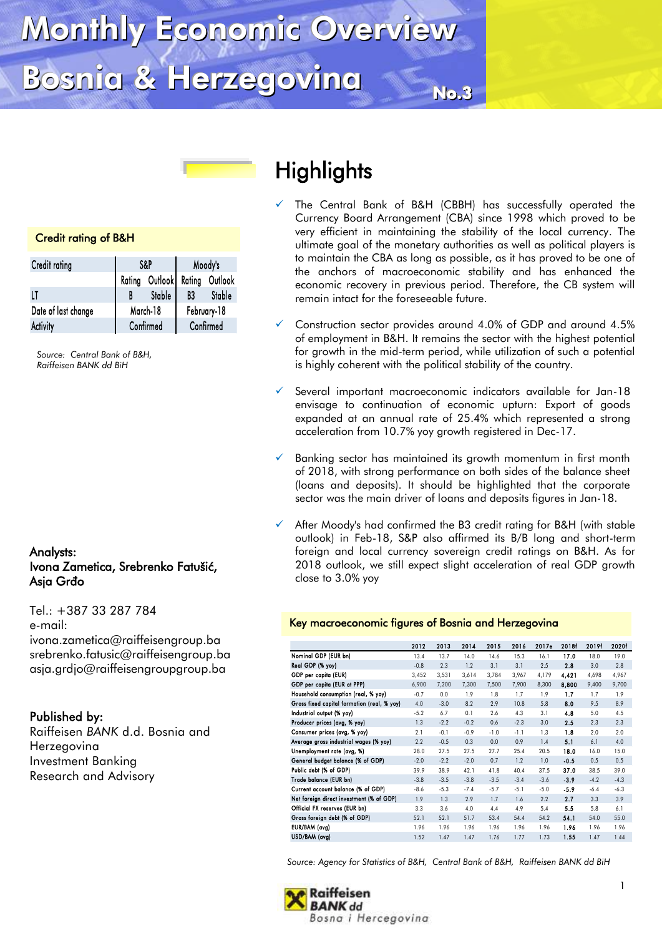# Monthly Economic Overview Bosnia & Herzegovina

# $No.3$

#### Credit rating of B&H

| Credit rating       |          | S&P                    | Moody's     |        |  |
|---------------------|----------|------------------------|-------------|--------|--|
|                     | Rating   | Outlook Rating Outlook |             |        |  |
| LT                  |          | Stable                 | B3          | Stable |  |
| Date of last change | March-18 |                        | February-18 |        |  |
| Activity            |          | Confirmed              | Confirmed   |        |  |

*Source: Central Bank of B&H, Raiffeisen BANK dd BiH*

#### Analysts: Ivona Zametica, Srebrenko Fatušić, Asja Grđo

Tel.: +387 33 287 784 e-mail: ivona.zametica@raiffeisengroup.ba srebrenko.fatusic@raiffeisengroup.ba asja.grdjo@raiffeisengroupgroup.ba

#### Published by:

Raiffeisen *BANK* d.d. Bosnia and Herzegovina Investment Banking Research and Advisory

# **Bosnia Bosnia Highlights**

- The Central Bank of B&H (CBBH) has successfully operated the Currency Board Arrangement (CBA) since 1998 which proved to be very efficient in maintaining the stability of the local currency. The ultimate goal of the monetary authorities as well as political players is to maintain the CBA as long as possible, as it has proved to be one of the anchors of macroeconomic stability and has enhanced the economic recovery in previous period. Therefore, the CB system will remain intact for the foreseeable future.
- $\checkmark$  Construction sector provides around 4.0% of GDP and around 4.5% of employment in B&H. It remains the sector with the highest potential for growth in the mid-term period, while utilization of such a potential is highly coherent with the political stability of the country.
- $\checkmark$  Several important macroeconomic indicators available for Jan-18 envisage to continuation of economic upturn: Export of goods expanded at an annual rate of 25.4% which represented a strong acceleration from 10.7% yoy growth registered in Dec-17.
- $\checkmark$  Banking sector has maintained its growth momentum in first month of 2018, with strong performance on both sides of the balance sheet (loans and deposits). It should be highlighted that the corporate sector was the main driver of loans and deposits figures in Jan-18.
- $\checkmark$  After Moody's had confirmed the B3 credit rating for B&H (with stable outlook) in Feb-18, S&P also affirmed its B/B long and short-term foreign and local currency sovereign credit ratings on B&H. As for 2018 outlook, we still expect slight acceleration of real GDP growth close to 3.0% yoy

#### Key macroeconomic figures of Bosnia and Herzegovina

|                                             | 2012   | 2013   | 2014   | 2015   | 2016   | 2017e  | 2018f  | 2019f  | 2020f  |
|---------------------------------------------|--------|--------|--------|--------|--------|--------|--------|--------|--------|
| Nominal GDP (EUR bn)                        | 13.4   | 13.7   | 14.0   | 14.6   | 15.3   | 16.1   | 17.0   | 18.0   | 19.0   |
| Real GDP (% yoy)                            | $-0.8$ | 2.3    | 1.2    | 3.1    | 3.1    | 2.5    | 2.8    | 3.0    | 2.8    |
| GDP per capita (EUR)                        | 3,452  | 3,531  | 3,614  | 3,784  | 3,967  | 4,179  | 4,421  | 4,698  | 4,967  |
| GDP per capita (EUR at PPP)                 | 6,900  | 7,200  | 7,300  | 7,500  | 7,900  | 8,300  | 8,800  | 9,400  | 9,700  |
| Household consumption (real, % yoy)         | $-0.7$ | 0.0    | 1.9    | 1.8    | 1.7    | 1.9    | 1.7    | 1.7    | 1.9    |
| Gross fixed capital formation (real, % yoy) | 4.0    | $-3.0$ | 8.2    | 2.9    | 10.8   | 5.8    | 8.0    | 9.5    | 8.9    |
| Industrial output (% yoy)                   | $-5.2$ | 6.7    | 0.1    | 2.6    | 4.3    | 3.1    | 4.8    | 5.0    | 4.5    |
| Producer prices (avg, % yoy)                | 1.3    | $-2.2$ | $-0.2$ | 0.6    | $-2.3$ | 3.0    | 2.5    | 2.3    | 2.3    |
| Consumer prices (avg, % yoy)                | 2.1    | $-0.1$ | $-0.9$ | $-1.0$ | $-1.1$ | 1.3    | 1.8    | 2.0    | 2.0    |
| Average gross industrial wages (% yoy)      | 2.2    | $-0.5$ | 0.3    | 0.0    | 0.9    | 1.4    | 5.1    | 6.1    | 4.0    |
| Unemployment rate (avg, %)                  | 28.0   | 27.5   | 27.5   | 27.7   | 25.4   | 20.5   | 18.0   | 16.0   | 15.0   |
| General budget balance (% of GDP)           | $-2.0$ | $-2.2$ | $-2.0$ | 0.7    | 1.2    | 1.0    | $-0.5$ | 0.5    | 0.5    |
| Public debt (% of GDP)                      | 39.9   | 38.9   | 42.1   | 41.8   | 40.4   | 37.5   | 37.0   | 38.5   | 39.0   |
| Trade balance (EUR bn)                      | $-3.8$ | $-3.5$ | $-3.8$ | $-3.5$ | $-3.4$ | $-3.6$ | $-3.9$ | $-4.2$ | $-4.3$ |
| Current account balance (% of GDP)          | $-8.6$ | $-5.3$ | $-7.4$ | $-5.7$ | $-5.1$ | $-5.0$ | $-5.9$ | $-6.4$ | $-6.3$ |
| Net foreign direct investment (% of GDP)    | 1.9    | 1.3    | 2.9    | 1.7    | 1.6    | 2.2    | 2.7    | 3.3    | 3.9    |
| Official FX reserves (EUR bn)               | 3.3    | 3.6    | 4.0    | 4.4    | 4.9    | 5.4    | 5.5    | 5.8    | 6.1    |
| Gross foreign debt (% of GDP)               | 52.1   | 52.1   | 51.7   | 53.4   | 54.4   | 54.2   | 54.1   | 54.0   | 55.0   |
| EUR/BAM (avg)                               | 1.96   | 1.96   | 1.96   | 1.96   | 1.96   | 1.96   | 1.96   | 1.96   | 1.96   |
| USD/BAM (avg)                               | 1.52   | 1.47   | 1.47   | 1.76   | 1.77   | 1.73   | 1.55   | 1.47   | 1.44   |

*Source: Agency for Statistics of B&H, Central Bank of B&H, Raiffeisen BANK dd BiH*

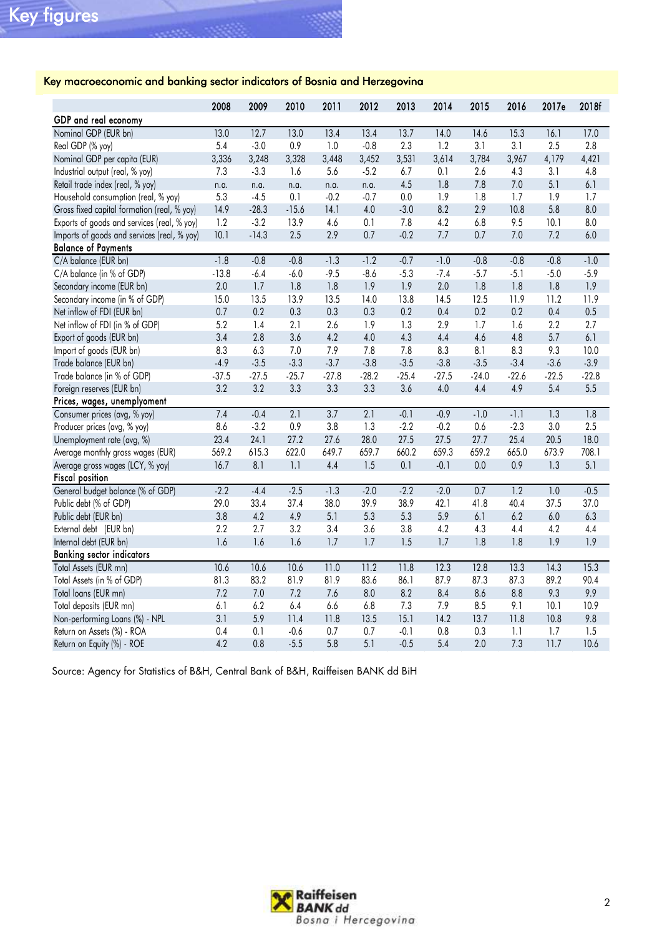#### Key macroeconomic and banking sector indicators of Bosnia and Herzegovina

|                                             | 2008    | 2009    | 2010    | 2011    | 2012    | 2013    | 2014    | 2015    | 2016             | 2017e            | 2018f   |
|---------------------------------------------|---------|---------|---------|---------|---------|---------|---------|---------|------------------|------------------|---------|
| GDP and real economy                        |         |         |         |         |         |         |         |         |                  |                  |         |
| Nominal GDP (EUR bn)                        | 13.0    | 12.7    | 13.0    | 13.4    | 13.4    | 13.7    | 14.0    | 14.6    | 15.3             | 16.1             | 17.0    |
| Real GDP (% yoy)                            | 5.4     | $-3.0$  | $0.9$   | 1.0     | $-0.8$  | 2.3     | 1.2     | 3.1     | 3.1              | 2.5              | 2.8     |
| Nominal GDP per capita (EUR)                | 3,336   | 3,248   | 3,328   | 3,448   | 3,452   | 3,531   | 3,614   | 3,784   | 3,967            | 4,179            | 4,421   |
| Industrial output (real, % yoy)             | 7.3     | $-3.3$  | 1.6     | 5.6     | $-5.2$  | 6.7     | 0.1     | 2.6     | 4.3              | 3.1              | 4.8     |
| Retail trade index (real, % yoy)            | n.a.    | n.a.    | n.a.    | n.a.    | n.a.    | 4.5     | 1.8     | 7.8     | $7.0\,$          | 5.1              | 6.1     |
| Household consumption (real, % yoy)         | 5.3     | $-4.5$  | 0.1     | $-0.2$  | $-0.7$  | 0.0     | 1.9     | 1.8     | 1.7              | 1.9              | 1.7     |
| Gross fixed capital formation (real, % yoy) | 14.9    | $-28.3$ | $-15.6$ | 14.1    | 4.0     | $-3.0$  | 8.2     | 2.9     | 10.8             | 5.8              | 8.0     |
| Exports of goods and services (real, % yoy) | 1.2     | $-3.2$  | 13.9    | 4.6     | 0.1     | 7.8     | 4.2     | 6.8     | 9.5              | 10.1             | 8.0     |
| Imports of goods and services (real, % yoy) | 10.1    | $-14.3$ | 2.5     | 2.9     | 0.7     | $-0.2$  | 7.7     | 0.7     | $7.0$            | 7.2              | 6.0     |
| <b>Balance of Payments</b>                  |         |         |         |         |         |         |         |         |                  |                  |         |
| C/A balance (EUR bn)                        | $-1.8$  | $-0.8$  | $-0.8$  | $-1.3$  | $-1.2$  | $-0.7$  | $-1.0$  | $-0.8$  | $-0.8$           | $-0.8$           | $-1.0$  |
| C/A balance (in % of GDP)                   | $-13.8$ | $-6.4$  | $-6.0$  | $-9.5$  | $-8.6$  | $-5.3$  | $-7.4$  | $-5.7$  | $-5.1$           | $-5.0$           | $-5.9$  |
| Secondary income (EUR bn)                   | 2.0     | 1.7     | 1.8     | 1.8     | 1.9     | 1.9     | 2.0     | 1.8     | 1.8              | 1.8              | 1.9     |
| Secondary income (in % of GDP)              | 15.0    | 13.5    | 13.9    | 13.5    | 14.0    | 13.8    | 14.5    | 12.5    | 11.9             | 11.2             | 11.9    |
| Net inflow of FDI (EUR bn)                  | 0.7     | 0.2     | 0.3     | 0.3     | 0.3     | 0.2     | 0.4     | 0.2     | 0.2              | 0.4              | 0.5     |
| Net inflow of FDI (in % of GDP)             | 5.2     | 1.4     | 2.1     | 2.6     | 1.9     | 1.3     | 2.9     | 1.7     | 1.6              | 2.2              | 2.7     |
| Export of goods (EUR bn)                    | 3.4     | 2.8     | 3.6     | 4.2     | 4.0     | 4.3     | 4.4     | 4.6     | 4.8              | 5.7              | 6.1     |
| Import of goods (EUR bn)                    | 8.3     | 6.3     | 7.0     | 7.9     | 7.8     | 7.8     | 8.3     | 8.1     | 8.3              | 9.3              | 10.0    |
| Trade balance (EUR bn)                      | $-4.9$  | $-3.5$  | $-3.3$  | $-3.7$  | $-3.8$  | $-3.5$  | $-3.8$  | $-3.5$  | $-3.4$           | $-3.6$           | $-3.9$  |
| Trade balance (in % of GDP)                 | $-37.5$ | $-27.5$ | $-25.7$ | $-27.8$ | $-28.2$ | $-25.4$ | $-27.5$ | $-24.0$ | $-22.6$          | $-22.5$          | $-22.8$ |
| Foreign reserves (EUR bn)                   | 3.2     | 3.2     | 3.3     | 3.3     | 3.3     | 3.6     | 4.0     | 4.4     | 4.9              | 5.4              | 5.5     |
| Prices, wages, unemplyoment                 |         |         |         |         |         |         |         |         |                  |                  |         |
| Consumer prices (avg, % yoy)                | 7.4     | $-0.4$  | 2.1     | 3.7     | 2.1     | $-0.1$  | $-0.9$  | $-1.0$  | $-1.1$           | 1.3              | 1.8     |
| Producer prices (avg, % yoy)                | 8.6     | $-3.2$  | 0.9     | 3.8     | 1.3     | $-2.2$  | $-0.2$  | 0.6     | $-2.3$           | 3.0              | 2.5     |
| Unemployment rate (avg, %)                  | 23.4    | 24.1    | 27.2    | 27.6    | 28.0    | 27.5    | 27.5    | 27.7    | 25.4             | 20.5             | 18.0    |
| Average monthly gross wages (EUR)           | 569.2   | 615.3   | 622.0   | 649.7   | 659.7   | 660.2   | 659.3   | 659.2   | 665.0            | 673.9            | 708.1   |
| Average gross wages (LCY, % yoy)            | 16.7    | 8.1     | 1.1     | 4.4     | 1.5     | 0.1     | $-0.1$  | 0.0     | 0.9              | 1.3              | 5.1     |
| <b>Fiscal position</b>                      |         |         |         |         |         |         |         |         |                  |                  |         |
| General budget balance (% of GDP)           | $-2.2$  | $-4.4$  | $-2.5$  | $-1.3$  | $-2.0$  | $-2.2$  | $-2.0$  | 0.7     | $\overline{1.2}$ | $\overline{1.0}$ | $-0.5$  |
| Public debt (% of GDP)                      | 29.0    | 33.4    | 37.4    | 38.0    | 39.9    | 38.9    | 42.1    | 41.8    | 40.4             | 37.5             | 37.0    |
| Public debt (EUR bn)                        | 3.8     | 4.2     | 4.9     | 5.1     | 5.3     | 5.3     | 5.9     | 6.1     | 6.2              | $6.0\,$          | 6.3     |
| External debt (EUR bn)                      | 2.2     | 2.7     | 3.2     | 3.4     | 3.6     | 3.8     | 4.2     | 4.3     | 4.4              | 4.2              | 4.4     |
| Internal debt (EUR bn)                      | 1.6     | 1.6     | 1.6     | 1.7     | 1.7     | 1.5     | 1.7     | 1.8     | 1.8              | 1.9              | 1.9     |
| <b>Banking sector indicators</b>            |         |         |         |         |         |         |         |         |                  |                  |         |
| Total Assets (EUR mn)                       | 10.6    | 10.6    | 10.6    | 11.0    | 11.2    | 11.8    | 12.3    | 12.8    | 13.3             | 14.3             | 15.3    |
| Total Assets (in % of GDP)                  | 81.3    | 83.2    | 81.9    | 81.9    | 83.6    | 86.1    | 87.9    | 87.3    | 87.3             | 89.2             | 90.4    |
| Total loans (EUR mn)                        | 7.2     | 7.0     | 7.2     | 7.6     | 8.0     | 8.2     | 8.4     | 8.6     | 8.8              | 9.3              | 9.9     |
| Total deposits (EUR mn)                     | 6.1     | 6.2     | 6.4     | 6.6     | 6.8     | 7.3     | 7.9     | 8.5     | 9.1              | 10.1             | 10.9    |
| Non-performing Loans (%) - NPL              | 3.1     | 5.9     | 11.4    | 11.8    | 13.5    | 15.1    | 14.2    | 13.7    | 11.8             | 10.8             | 9.8     |
| Return on Assets (%) - ROA                  | 0.4     | 0.1     | $-0.6$  | 0.7     | 0.7     | $-0.1$  | 0.8     | 0.3     | 1.1              | 1.7              | 1.5     |
| Return on Equity (%) - ROE                  | 4.2     | 0.8     | $-5.5$  | 5.8     | 5.1     | $-0.5$  | 5.4     | 2.0     | 7.3              | 11.7             | 10.6    |

Source: Agency for Statistics of B&H, Central Bank of B&H, Raiffeisen BANK dd BiH

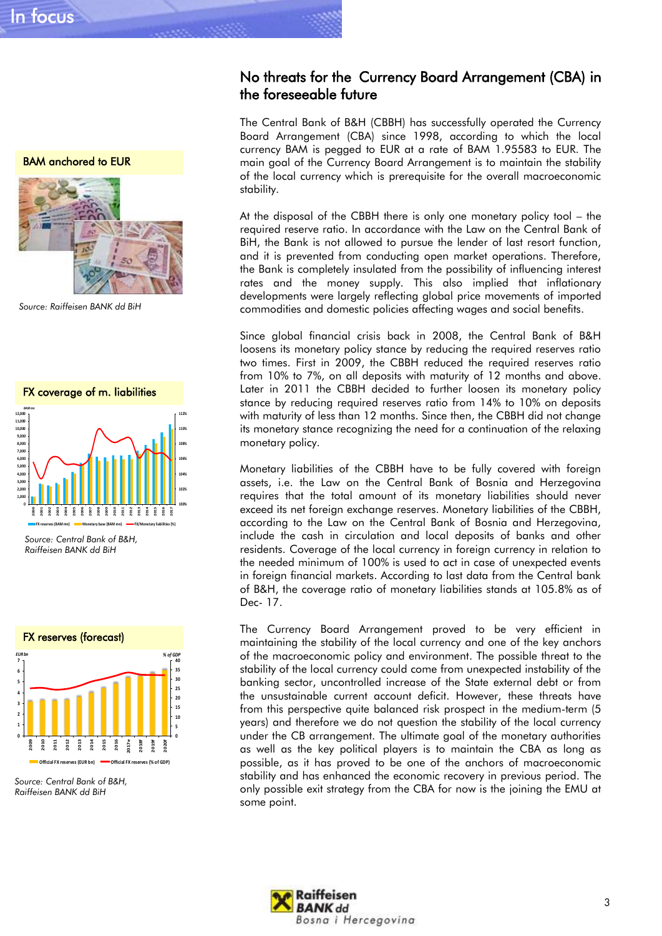BAM anchored to EUR



 *Source: Raiffeisen BANK dd BiH*



 *Source: Central Bank of B&H, Raiffeisen BANK dd BiH*



*Source: Central Bank of B&H, Raiffeisen BANK dd BiH*

#### No threats for the Currency Board Arrangement (CBA) in the foreseeable future

The Central Bank of B&H (CBBH) has successfully operated the Currency Board Arrangement (CBA) since 1998, according to which the local currency BAM is pegged to EUR at a rate of BAM 1.95583 to EUR. The main goal of the Currency Board Arrangement is to maintain the stability of the local currency which is prerequisite for the overall macroeconomic stability.

At the disposal of the CBBH there is only one monetary policy tool – the required reserve ratio. In accordance with the Law on the Central Bank of BiH, the Bank is not allowed to pursue the lender of last resort function, and it is prevented from conducting open market operations. Therefore, the Bank is completely insulated from the possibility of influencing interest rates and the money supply. This also implied that inflationary developments were largely reflecting global price movements of imported commodities and domestic policies affecting wages and social benefits.

Since global financial crisis back in 2008, the Central Bank of B&H loosens its monetary policy stance by reducing the required reserves ratio two times. First in 2009, the CBBH reduced the required reserves ratio from 10% to 7%, on all deposits with maturity of 12 months and above. Later in 2011 the CBBH decided to further loosen its monetary policy stance by reducing required reserves ratio from 14% to 10% on deposits with maturity of less than 12 months. Since then, the CBBH did not change its monetary stance recognizing the need for a continuation of the relaxing monetary policy.

Monetary liabilities of the CBBH have to be fully covered with foreign assets, i.e. the Law on the Central Bank of Bosnia and Herzegovina requires that the total amount of its monetary liabilities should never exceed its net foreign exchange reserves. Monetary liabilities of the CBBH, according to the Law on the Central Bank of Bosnia and Herzegovina, include the cash in circulation and local deposits of banks and other residents. Coverage of the local currency in foreign currency in relation to the needed minimum of 100% is used to act in case of unexpected events in foreign financial markets. According to last data from the Central bank of B&H, the coverage ratio of monetary liabilities stands at 105.8% as of Dec- 17.

The Currency Board Arrangement proved to be very efficient in maintaining the stability of the local currency and one of the key anchors of the macroeconomic policy and environment. The possible threat to the stability of the local currency could come from unexpected instability of the banking sector, uncontrolled increase of the State external debt or from the unsustainable current account deficit. However, these threats have from this perspective quite balanced risk prospect in the medium-term (5 years) and therefore we do not question the stability of the local currency under the CB arrangement. The ultimate goal of the monetary authorities as well as the key political players is to maintain the CBA as long as possible, as it has proved to be one of the anchors of macroeconomic stability and has enhanced the economic recovery in previous period. The only possible exit strategy from the CBA for now is the joining the EMU at some point.

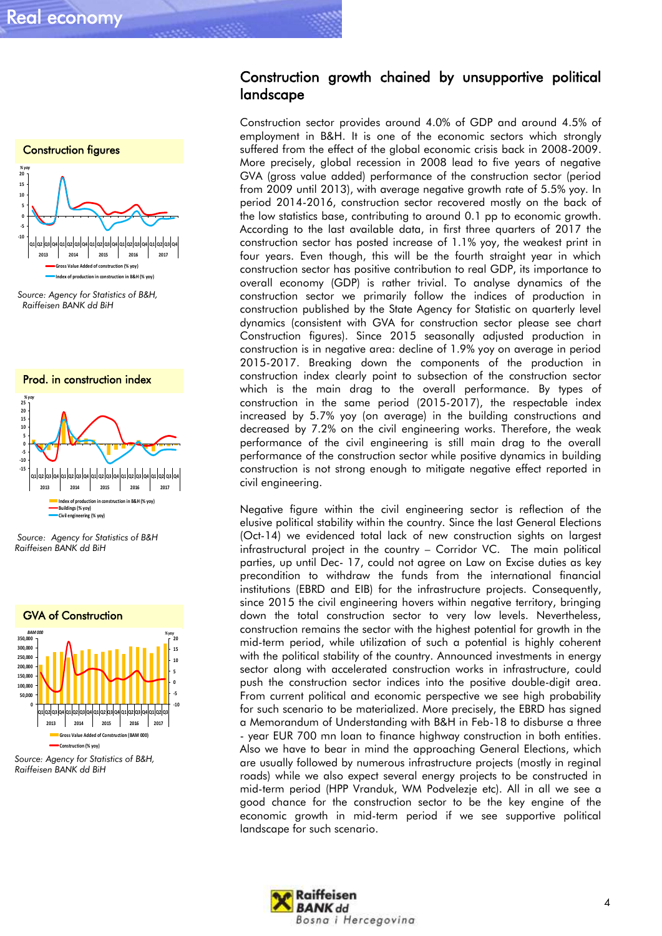

*Source: Agency for Statistics of B&H, Raiffeisen BANK dd BiH*



*Source: Agency for Statistics of B&H Raiffeisen BANK dd BiH*



*Source: Agency for Statistics of B&H, Raiffeisen BANK dd BiH*

#### Construction growth chained by unsupportive political landscape

Construction sector provides around 4.0% of GDP and around 4.5% of employment in B&H. It is one of the economic sectors which strongly suffered from the effect of the global economic crisis back in 2008-2009. More precisely, global recession in 2008 lead to five years of negative GVA (gross value added) performance of the construction sector (period from 2009 until 2013), with average negative growth rate of 5.5% yoy. In period 2014-2016, construction sector recovered mostly on the back of the low statistics base, contributing to around 0.1 pp to economic growth. According to the last available data, in first three quarters of 2017 the construction sector has posted increase of 1.1% yoy, the weakest print in four years. Even though, this will be the fourth straight year in which construction sector has positive contribution to real GDP, its importance to overall economy (GDP) is rather trivial. To analyse dynamics of the construction sector we primarily follow the indices of production in construction published by the State Agency for Statistic on quarterly level dynamics (consistent with GVA for construction sector please see chart Construction figures). Since 2015 seasonally adjusted production in construction is in negative area: decline of 1.9% yoy on average in period 2015-2017. Breaking down the components of the production in construction index clearly point to subsection of the construction sector which is the main drag to the overall performance. By types of construction in the same period (2015-2017), the respectable index increased by 5.7% yoy (on average) in the building constructions and decreased by 7.2% on the civil engineering works. Therefore, the weak performance of the civil engineering is still main drag to the overall performance of the construction sector while positive dynamics in building construction is not strong enough to mitigate negative effect reported in civil engineering.

Negative figure within the civil engineering sector is reflection of the elusive political stability within the country. Since the last General Elections (Oct-14) we evidenced total lack of new construction sights on largest infrastructural project in the country – Corridor VC. The main political parties, up until Dec- 17, could not agree on Law on Excise duties as key precondition to withdraw the funds from the international financial institutions (EBRD and EIB) for the infrastructure projects. Consequently, since 2015 the civil engineering hovers within negative territory, bringing down the total construction sector to very low levels. Nevertheless, construction remains the sector with the highest potential for growth in the mid-term period, while utilization of such a potential is highly coherent with the political stability of the country. Announced investments in energy sector along with accelerated construction works in infrastructure, could push the construction sector indices into the positive double-digit area. From current political and economic perspective we see high probability for such scenario to be materialized. More precisely, the EBRD has signed a Memorandum of Understanding with B&H in Feb-18 to disburse a three - year EUR 700 mn loan to finance highway construction in both entities. Also we have to bear in mind the approaching General Elections, which are usually followed by numerous infrastructure projects (mostly in reginal roads) while we also expect several energy projects to be constructed in mid-term period (HPP Vranduk, WM Podvelezje etc). All in all we see a good chance for the construction sector to be the key engine of the economic growth in mid-term period if we see supportive political landscape for such scenario.

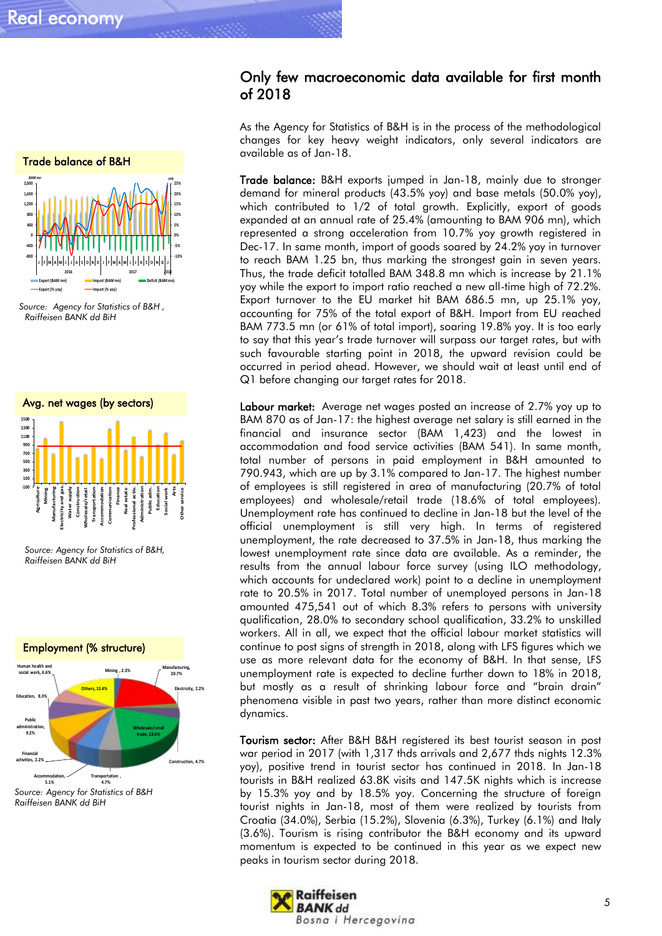

 *Source: Agency for Statistics of B&H , Raiffeisen BANK dd BiH*



 *Source: Agency for Statistics of B&H, Raiffeisen BANK dd BiH*



#### Only few macroeconomic data available for first month of 2018

As the Agency for Statistics of B&H is in the process of the methodological changes for key heavy weight indicators, only several indicators are available as of Jan-18.

Trade balance: B&H exports jumped in Jan-18, mainly due to stronger demand for mineral products (43.5% yoy) and base metals (50.0% yoy), which contributed to 1/2 of total growth. Explicitly, export of goods expanded at an annual rate of 25.4% (amounting to BAM 906 mn), which represented a strong acceleration from 10.7% yoy growth registered in Dec-17. In same month, import of goods soared by 24.2% yoy in turnover to reach BAM 1.25 bn, thus marking the strongest gain in seven years. Thus, the trade deficit totalled BAM 348.8 mn which is increase by 21.1% yoy while the export to import ratio reached a new all-time high of 72.2%. Export turnover to the EU market hit BAM 686.5 mn, up 25.1% yoy, accounting for 75% of the total export of B&H. Import from EU reached BAM 773.5 mn (or 61% of total import), soaring 19.8% yoy. It is too early to say that this year's trade turnover will surpass our target rates, but with such favourable starting point in 2018, the upward revision could be occurred in period ahead. However, we should wait at least until end of Q1 before changing our target rates for 2018.

Labour market: Average net wages posted an increase of 2.7% yoy up to BAM 870 as of Jan-17: the highest average net salary is still earned in the financial and insurance sector (BAM 1,423) and the lowest in accommodation and food service activities (BAM 541). In same month, total number of persons in paid employment in B&H amounted to 790.943, which are up by 3.1% compared to Jan-17. The highest number of employees is still registered in area of manufacturing (20.7% of total employees) and wholesale/retail trade (18.6% of total employees). Unemployment rate has continued to decline in Jan-18 but the level of the official unemployment is still very high. In terms of registered unemployment, the rate decreased to 37.5% in Jan-18, thus marking the lowest unemployment rate since data are available. As a reminder, the results from the annual labour force survey (using ILO methodology, which accounts for undeclared work) point to a decline in unemployment rate to 20.5% in 2017. Total number of unemployed persons in Jan-18 amounted 475,541 out of which 8.3% refers to persons with university qualification, 28.0% to secondary school qualification, 33.2% to unskilled workers. All in all, we expect that the official labour market statistics will continue to post signs of strength in 2018, along with LFS figures which we use as more relevant data for the economy of B&H. In that sense, LFS unemployment rate is expected to decline further down to 18% in 2018, but mostly as a result of shrinking labour force and "brain drain" phenomena visible in past two years, rather than more distinct economic dynamics.

Tourism sector: After B&H B&H registered its best tourist season in post war period in 2017 (with 1,317 thds arrivals and 2,677 thds nights 12.3% yoy), positive trend in tourist sector has continued in 2018. In Jan-18 tourists in B&H realized 63.8K visits and 147.5K nights which is increase by 15.3% yoy and by 18.5% yoy. Concerning the structure of foreign tourist nights in Jan-18, most of them were realized by tourists from Croatia (34.0%), Serbia (15.2%), Slovenia (6.3%), Turkey (6.1%) and Italy (3.6%). Tourism is rising contributor the B&H economy and its upward momentum is expected to be continued in this year as we expect new peaks in tourism sector during 2018.

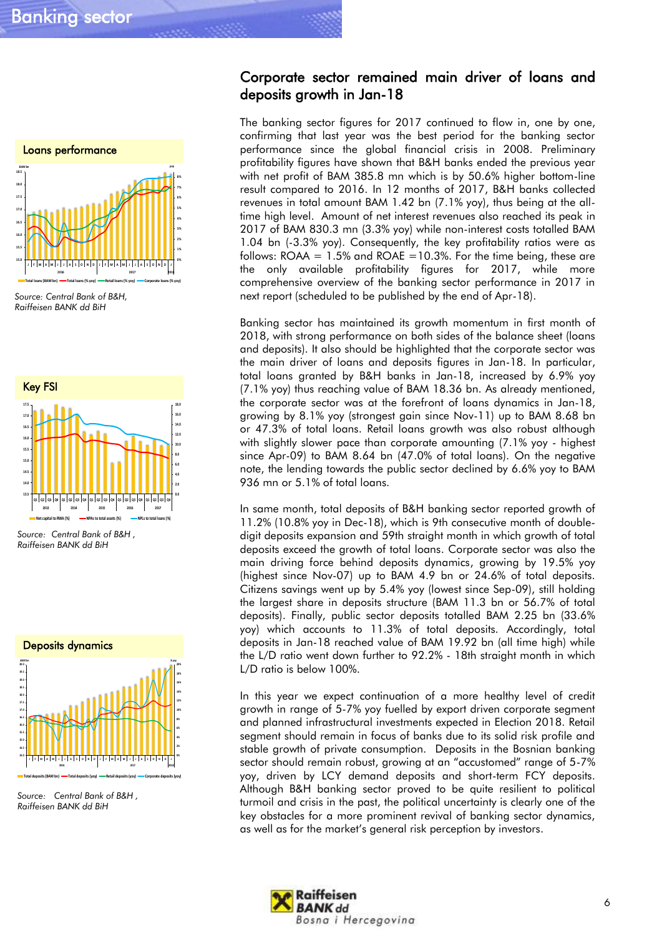

 *Source: Central Bank of B&H, Raiffeisen BANK dd BiH*



*Source: Central Bank of B&H , Raiffeisen BANK dd BiH*



*Source: Central Bank of B&H , Raiffeisen BANK dd BiH*

#### Corporate sector remained main driver of loans and deposits growth in Jan-18

The banking sector figures for 2017 continued to flow in, one by one, confirming that last year was the best period for the banking sector performance since the global financial crisis in 2008. Preliminary profitability figures have shown that B&H banks ended the previous year with net profit of BAM 385.8 mn which is by 50.6% higher bottom-line result compared to 2016. In 12 months of 2017, B&H banks collected revenues in total amount BAM 1.42 bn (7.1% yoy), thus being at the alltime high level. Amount of net interest revenues also reached its peak in 2017 of BAM 830.3 mn (3.3% yoy) while non-interest costs totalled BAM 1.04 bn (-3.3% yoy). Consequently, the key profitability ratios were as follows:  $ROAA = 1.5\%$  and  $ROAE = 10.3\%$ . For the time being, these are the only available profitability figures for 2017, while more comprehensive overview of the banking sector performance in 2017 in next report (scheduled to be published by the end of Apr-18).

Banking sector has maintained its growth momentum in first month of 2018, with strong performance on both sides of the balance sheet (loans and deposits). It also should be highlighted that the corporate sector was the main driver of loans and deposits figures in Jan-18. In particular, total loans granted by B&H banks in Jan-18, increased by 6.9% yoy (7.1% yoy) thus reaching value of BAM 18.36 bn. As already mentioned, the corporate sector was at the forefront of loans dynamics in Jan-18, growing by 8.1% yoy (strongest gain since Nov-11) up to BAM 8.68 bn or 47.3% of total loans. Retail loans growth was also robust although with slightly slower pace than corporate amounting (7.1% yoy - highest since Apr-09) to BAM 8.64 bn (47.0% of total loans). On the negative note, the lending towards the public sector declined by 6.6% yoy to BAM 936 mn or 5.1% of total loans.

In same month, total deposits of B&H banking sector reported growth of 11.2% (10.8% yoy in Dec-18), which is 9th consecutive month of doubledigit deposits expansion and 59th straight month in which growth of total deposits exceed the growth of total loans. Corporate sector was also the main driving force behind deposits dynamics, growing by 19.5% yoy (highest since Nov-07) up to BAM 4.9 bn or 24.6% of total deposits. Citizens savings went up by 5.4% yoy (lowest since Sep-09), still holding the largest share in deposits structure (BAM 11.3 bn or 56.7% of total deposits). Finally, public sector deposits totalled BAM 2.25 bn (33.6% yoy) which accounts to 11.3% of total deposits. Accordingly, total deposits in Jan-18 reached value of BAM 19.92 bn (all time high) while the L/D ratio went down further to 92.2% - 18th straight month in which L/D ratio is below 100%.

In this year we expect continuation of a more healthy level of credit growth in range of 5-7% yoy fuelled by export driven corporate segment and planned infrastructural investments expected in Election 2018. Retail segment should remain in focus of banks due to its solid risk profile and stable growth of private consumption. Deposits in the Bosnian banking sector should remain robust, growing at an "accustomed" range of 5-7% yoy, driven by LCY demand deposits and short-term FCY deposits. Although B&H banking sector proved to be quite resilient to political turmoil and crisis in the past, the political uncertainty is clearly one of the key obstacles for a more prominent revival of banking sector dynamics, as well as for the market's general risk perception by investors.

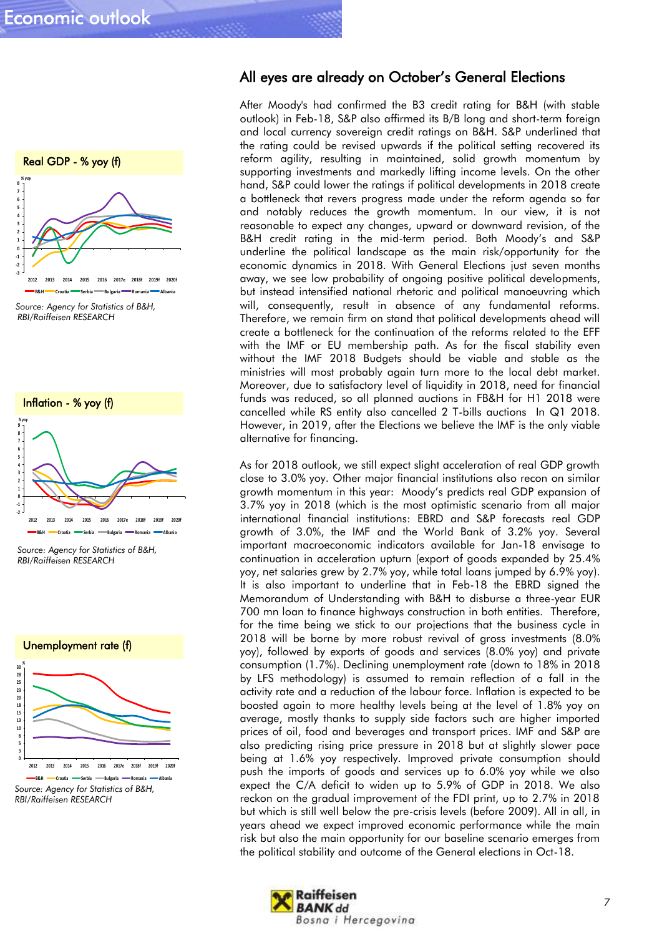





*Source: Agency for Statistics of B&H, RBI/Raiffeisen RESEARCH*



All eyes are already on October's General Elections

After Moody's had confirmed the B3 credit rating for B&H (with stable outlook) in Feb-18, S&P also affirmed its B/B long and short-term foreign and local currency sovereign credit ratings on B&H. S&P underlined that the rating could be revised upwards if the political setting recovered its reform agility, resulting in maintained, solid growth momentum by supporting investments and markedly lifting income levels. On the other hand, S&P could lower the ratings if political developments in 2018 create a bottleneck that revers progress made under the reform agenda so far and notably reduces the growth momentum. In our view, it is not reasonable to expect any changes, upward or downward revision, of the B&H credit rating in the mid-term period. Both Moody's and S&P underline the political landscape as the main risk/opportunity for the economic dynamics in 2018. With General Elections just seven months away, we see low probability of ongoing positive political developments, but instead intensified national rhetoric and political manoeuvring which will, consequently, result in absence of any fundamental reforms. Therefore, we remain firm on stand that political developments ahead will create a bottleneck for the continuation of the reforms related to the EFF with the IMF or EU membership path. As for the fiscal stability even without the IMF 2018 Budgets should be viable and stable as the ministries will most probably again turn more to the local debt market. Moreover, due to satisfactory level of liquidity in 2018, need for financial funds was reduced, so all planned auctions in FB&H for H1 2018 were cancelled while RS entity also cancelled 2 T-bills auctions In Q1 2018. However, in 2019, after the Elections we believe the IMF is the only viable alternative for financing.

As for 2018 outlook, we still expect slight acceleration of real GDP growth close to 3.0% yoy. Other major financial institutions also recon on similar growth momentum in this year: Moody's predicts real GDP expansion of 3.7% yoy in 2018 (which is the most optimistic scenario from all major international financial institutions: EBRD and S&P forecasts real GDP growth of 3.0%, the IMF and the World Bank of 3.2% yoy. Several important macroeconomic indicators available for Jan-18 envisage to continuation in acceleration upturn (export of goods expanded by 25.4% yoy, net salaries grew by 2.7% yoy, while total loans jumped by 6.9% yoy). It is also important to underline that in Feb-18 the EBRD signed the Memorandum of Understanding with B&H to disburse a three-year EUR 700 mn loan to finance highways construction in both entities. Therefore, for the time being we stick to our projections that the business cycle in 2018 will be borne by more robust revival of gross investments (8.0% yoy), followed by exports of goods and services (8.0% yoy) and private consumption (1.7%). Declining unemployment rate (down to 18% in 2018 by LFS methodology) is assumed to remain reflection of a fall in the activity rate and a reduction of the labour force. Inflation is expected to be boosted again to more healthy levels being at the level of 1.8% yoy on average, mostly thanks to supply side factors such are higher imported prices of oil, food and beverages and transport prices. IMF and S&P are also predicting rising price pressure in 2018 but at slightly slower pace being at 1.6% yoy respectively. Improved private consumption should push the imports of goods and services up to 6.0% yoy while we also expect the C/A deficit to widen up to 5.9% of GDP in 2018. We also reckon on the gradual improvement of the FDI print, up to 2.7% in 2018 but which is still well below the pre-crisis levels (before 2009). All in all, in years ahead we expect improved economic performance while the main risk but also the main opportunity for our baseline scenario emerges from the political stability and outcome of the General elections in Oct-18.

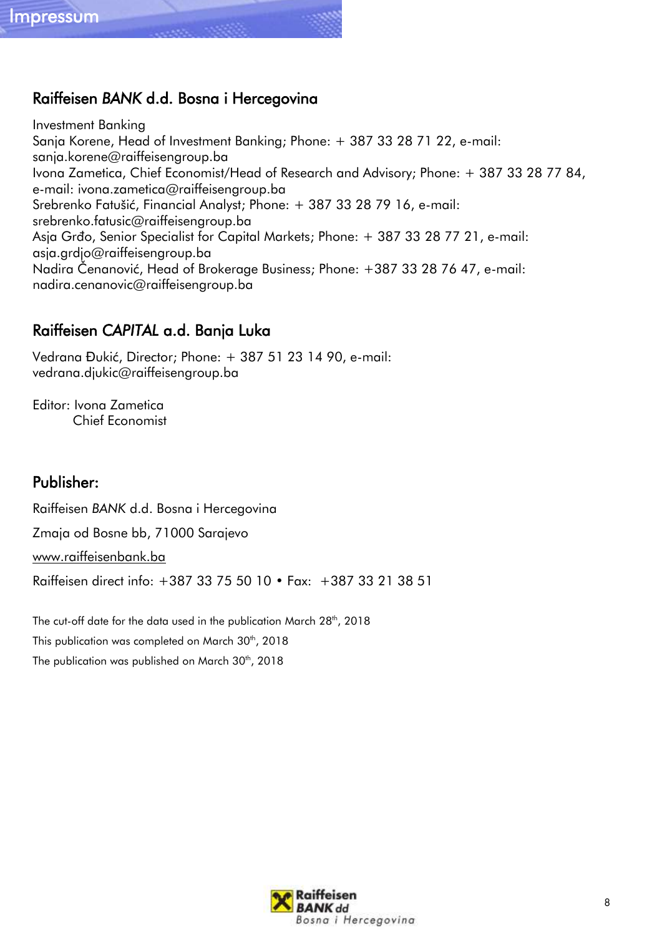# Raiffeisen *BANK* d.d. Bosna i Hercegovina

Investment Banking Sanja Korene, Head of Investment Banking; Phone: + 387 33 28 71 22, e-mail: sanja.korene@raiffeisengroup.ba Ivona Zametica, Chief Economist/Head of Research and Advisory; Phone: + 387 33 28 77 84, e-mail: ivona.zametica@raiffeisengroup.ba Srebrenko Fatušić, Financial Analyst; Phone: + 387 33 28 79 16, e-mail: srebrenko.fatusic@raiffeisengroup.ba Asja Grđo, Senior Specialist for Capital Markets; Phone: + 387 33 28 77 21, e-mail: asja.grdjo@raiffeisengroup.ba Nadira Čenanović, Head of Brokerage Business; Phone: +387 33 28 76 47, e-mail: nadira.cenanovic@raiffeisengroup.ba

# Raiffeisen *CAPITAL* a.d. Banja Luka

Vedrana Đukić, Director; Phone: + 387 51 23 14 90, e-mail: vedrana.djukic@raiffeisengroup.ba

Editor: Ivona Zametica Chief Economist

# Publisher:

Raiffeisen *BANK* d.d. Bosna i Hercegovina

Zmaja od Bosne bb, 71000 Sarajevo

[www.raiffeisenbank.ba](http://www.raiffeisenbank.ba/)

Raiffeisen direct info: +387 33 75 50 10 • Fax: +387 33 21 38 51

The cut-off date for the data used in the publication March 28<sup>th</sup>, 2018 This publication was completed on March 30<sup>th</sup>, 2018 The publication was published on March 30<sup>th</sup>, 2018